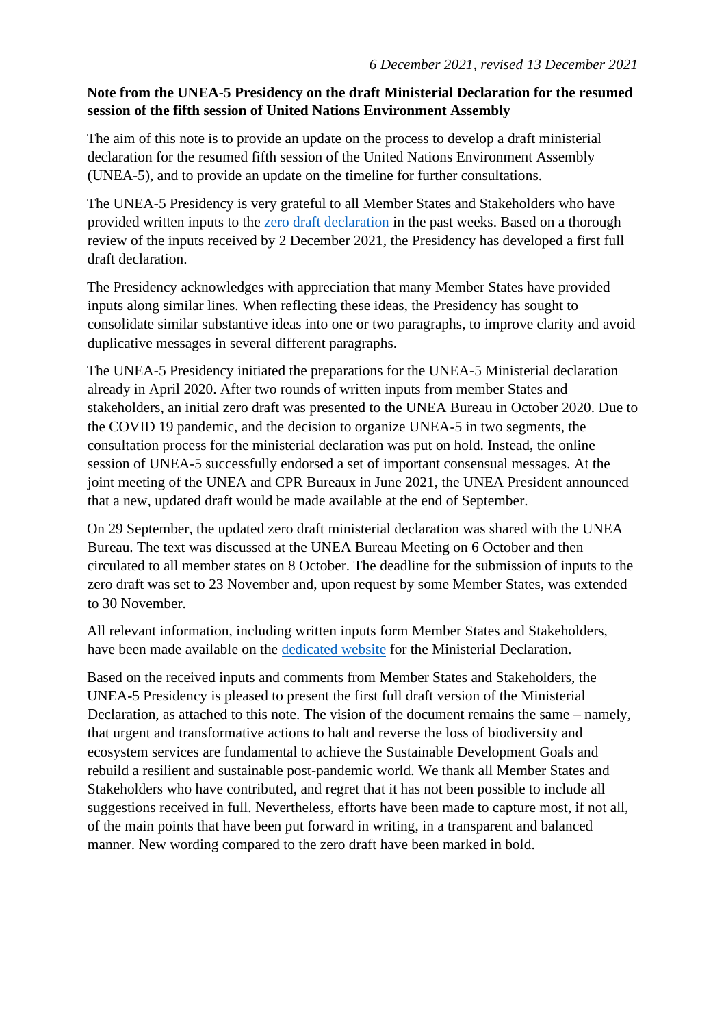## **Note from the UNEA-5 Presidency on the draft Ministerial Declaration for the resumed session of the fifth session of United Nations Environment Assembly**

The aim of this note is to provide an update on the process to develop a draft ministerial declaration for the resumed fifth session of the United Nations Environment Assembly (UNEA-5), and to provide an update on the timeline for further consultations.

The UNEA-5 Presidency is very grateful to all Member States and Stakeholders who have provided written inputs to the [zero draft declaration](https://wedocs.unep.org/bitstream/handle/20.500.11822/36915/Zero%20Draft%20Ministerial%20Declaration%20UNEA-5.pdf?sequence=1&isAllowed=y) in the past weeks. Based on a thorough review of the inputs received by 2 December 2021, the Presidency has developed a first full draft declaration.

The Presidency acknowledges with appreciation that many Member States have provided inputs along similar lines. When reflecting these ideas, the Presidency has sought to consolidate similar substantive ideas into one or two paragraphs, to improve clarity and avoid duplicative messages in several different paragraphs.

The UNEA-5 Presidency initiated the preparations for the UNEA-5 Ministerial declaration already in April 2020. After two rounds of written inputs from member States and stakeholders, an initial zero draft was presented to the UNEA Bureau in October 2020. Due to the COVID 19 pandemic, and the decision to organize UNEA-5 in two segments, the consultation process for the ministerial declaration was put on hold. Instead, the online session of UNEA-5 successfully endorsed a set of important consensual messages. At the joint meeting of the UNEA and CPR Bureaux in June 2021, the UNEA President announced that a new, updated draft would be made available at the end of September.

On 29 September, the updated zero draft ministerial declaration was shared with the UNEA Bureau. The text was discussed at the UNEA Bureau Meeting on 6 October and then circulated to all member states on 8 October. The deadline for the submission of inputs to the zero draft was set to 23 November and, upon request by some Member States, was extended to 30 November.

All relevant information, including written inputs form Member States and Stakeholders, have been made available on the [dedicated website](https://www.unep.org/environmentassembly/inputs-ministerial-declaration-unea-5) for the Ministerial Declaration.

Based on the received inputs and comments from Member States and Stakeholders, the UNEA-5 Presidency is pleased to present the first full draft version of the Ministerial Declaration, as attached to this note. The vision of the document remains the same – namely, that urgent and transformative actions to halt and reverse the loss of biodiversity and ecosystem services are fundamental to achieve the Sustainable Development Goals and rebuild a resilient and sustainable post-pandemic world. We thank all Member States and Stakeholders who have contributed, and regret that it has not been possible to include all suggestions received in full. Nevertheless, efforts have been made to capture most, if not all, of the main points that have been put forward in writing, in a transparent and balanced manner. New wording compared to the zero draft have been marked in bold.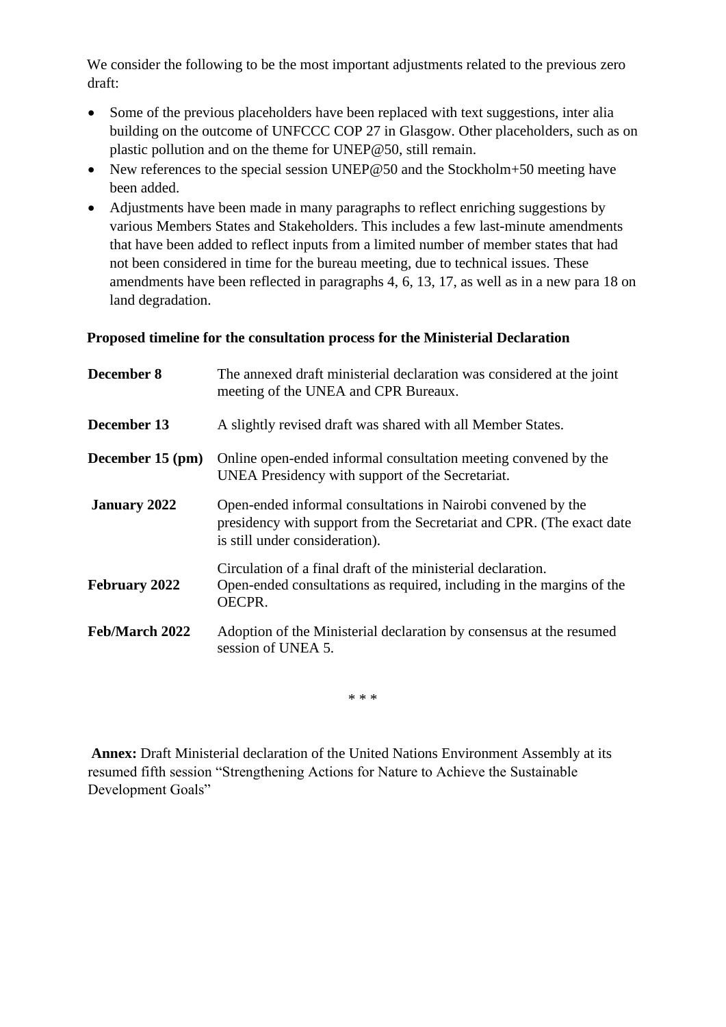We consider the following to be the most important adjustments related to the previous zero draft:

- Some of the previous placeholders have been replaced with text suggestions, inter alia building on the outcome of UNFCCC COP 27 in Glasgow. Other placeholders, such as on plastic pollution and on the theme for UNEP@50, still remain.
- New references to the special session UNEP@50 and the Stockholm+50 meeting have been added.
- Adjustments have been made in many paragraphs to reflect enriching suggestions by various Members States and Stakeholders. This includes a few last-minute amendments that have been added to reflect inputs from a limited number of member states that had not been considered in time for the bureau meeting, due to technical issues. These amendments have been reflected in paragraphs 4, 6, 13, 17, as well as in a new para 18 on land degradation.

## **Proposed timeline for the consultation process for the Ministerial Declaration**

| December 8           | The annexed draft ministerial declaration was considered at the joint<br>meeting of the UNEA and CPR Bureaux.                                                           |
|----------------------|-------------------------------------------------------------------------------------------------------------------------------------------------------------------------|
| December 13          | A slightly revised draft was shared with all Member States.                                                                                                             |
| December 15 (pm)     | Online open-ended informal consultation meeting convened by the<br>UNEA Presidency with support of the Secretariat.                                                     |
| <b>January 2022</b>  | Open-ended informal consultations in Nairobi convened by the<br>presidency with support from the Secretariat and CPR. (The exact date<br>is still under consideration). |
| <b>February 2022</b> | Circulation of a final draft of the ministerial declaration.<br>Open-ended consultations as required, including in the margins of the<br>OECPR.                         |
| Feb/March 2022       | Adoption of the Ministerial declaration by consensus at the resumed<br>session of UNEA 5.                                                                               |

\* \* \*

**Annex:** Draft Ministerial declaration of the United Nations Environment Assembly at its resumed fifth session "Strengthening Actions for Nature to Achieve the Sustainable Development Goals"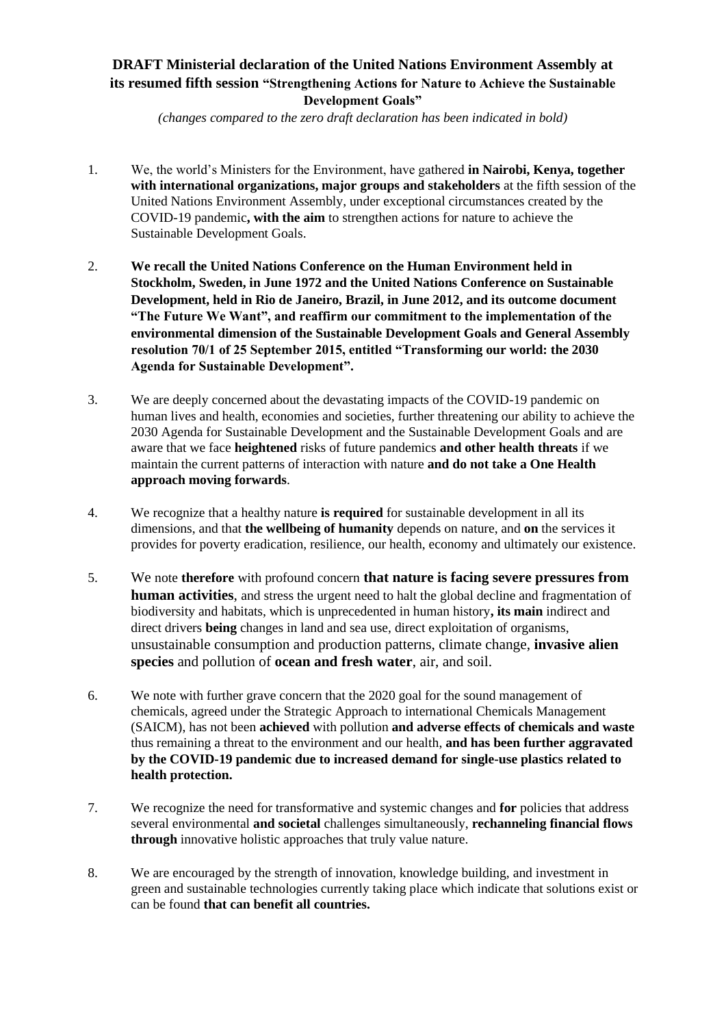## **DRAFT Ministerial declaration of the United Nations Environment Assembly at its resumed fifth session "Strengthening Actions for Nature to Achieve the Sustainable Development Goals"**

*(changes compared to the zero draft declaration has been indicated in bold)* 

- 1. We, the world's Ministers for the Environment, have gathered **in Nairobi, Kenya, together with international organizations, major groups and stakeholders** at the fifth session of the United Nations Environment Assembly, under exceptional circumstances created by the COVID-19 pandemic**, with the aim** to strengthen actions for nature to achieve the Sustainable Development Goals.
- 2. **We recall the United Nations Conference on the Human Environment held in Stockholm, Sweden, in June 1972 and the United Nations Conference on Sustainable Development, held in Rio de Janeiro, Brazil, in June 2012, and its outcome document "The Future We Want", and reaffirm our commitment to the implementation of the environmental dimension of the Sustainable Development Goals and General Assembly resolution 70/1 of 25 September 2015, entitled "Transforming our world: the 2030 Agenda for Sustainable Development".**
- 3. We are deeply concerned about the devastating impacts of the COVID-19 pandemic on human lives and health, economies and societies, further threatening our ability to achieve the 2030 Agenda for Sustainable Development and the Sustainable Development Goals and are aware that we face **heightened** risks of future pandemics **and other health threats** if we maintain the current patterns of interaction with nature **and do not take a One Health approach moving forwards**.
- 4. We recognize that a healthy nature **is required** for sustainable development in all its dimensions, and that **the wellbeing of humanity** depends on nature, and **on** the services it provides for poverty eradication, resilience, our health, economy and ultimately our existence.
- 5. We note **therefore** with profound concern **that nature is facing severe pressures from human activities**, and stress the urgent need to halt the global decline and fragmentation of biodiversity and habitats, which is unprecedented in human history**, its main** indirect and direct drivers **being** changes in land and sea use, direct exploitation of organisms, unsustainable consumption and production patterns, climate change, **invasive alien species** and pollution of **ocean and fresh water**, air, and soil.
- 6. We note with further grave concern that the 2020 goal for the sound management of chemicals, agreed under the Strategic Approach to international Chemicals Management (SAICM), has not been **achieved** with pollution **and adverse effects of chemicals and waste** thus remaining a threat to the environment and our health, **and has been further aggravated by the COVID-19 pandemic due to increased demand for single-use plastics related to health protection.**
- 7. We recognize the need for transformative and systemic changes and **for** policies that address several environmental **and societal** challenges simultaneously, **rechanneling financial flows through** innovative holistic approaches that truly value nature.
- 8. We are encouraged by the strength of innovation, knowledge building, and investment in green and sustainable technologies currently taking place which indicate that solutions exist or can be found **that can benefit all countries.**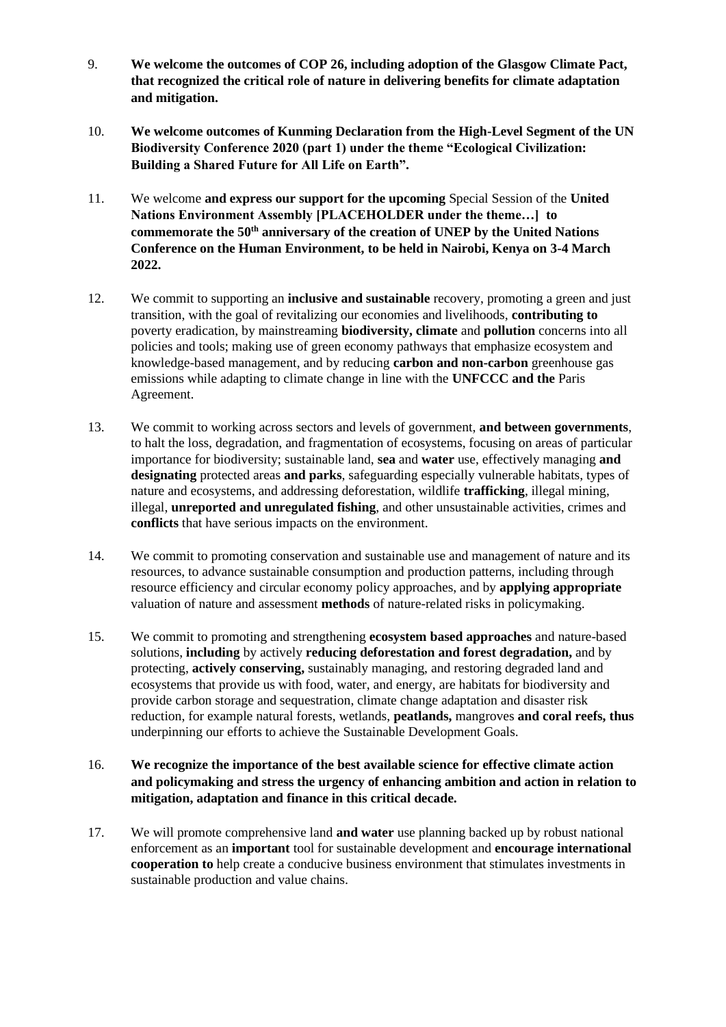- 9. **We welcome the outcomes of COP 26, including adoption of the Glasgow Climate Pact, that recognized the critical role of nature in delivering benefits for climate adaptation and mitigation.**
- 10. **We welcome outcomes of Kunming Declaration from the High-Level Segment of the UN Biodiversity Conference 2020 (part 1) under the theme "Ecological Civilization: Building a Shared Future for All Life on Earth".**
- 11. We welcome **and express our support for the upcoming** Special Session of the **United Nations Environment Assembly [PLACEHOLDER under the theme…] to commemorate the 50th anniversary of the creation of UNEP by the United Nations Conference on the Human Environment, to be held in Nairobi, Kenya on 3-4 March 2022.**
- 12. We commit to supporting an **inclusive and sustainable** recovery, promoting a green and just transition, with the goal of revitalizing our economies and livelihoods, **contributing to** poverty eradication, by mainstreaming **biodiversity, climate** and **pollution** concerns into all policies and tools; making use of green economy pathways that emphasize ecosystem and knowledge-based management, and by reducing **carbon and non-carbon** greenhouse gas emissions while adapting to climate change in line with the **UNFCCC and the** Paris Agreement.
- 13. We commit to working across sectors and levels of government, **and between governments**, to halt the loss, degradation, and fragmentation of ecosystems, focusing on areas of particular importance for biodiversity; sustainable land, **sea** and **water** use, effectively managing **and designating** protected areas **and parks**, safeguarding especially vulnerable habitats, types of nature and ecosystems, and addressing deforestation, wildlife **trafficking**, illegal mining, illegal, **unreported and unregulated fishing**, and other unsustainable activities, crimes and **conflicts** that have serious impacts on the environment.
- 14. We commit to promoting conservation and sustainable use and management of nature and its resources, to advance sustainable consumption and production patterns, including through resource efficiency and circular economy policy approaches, and by **applying appropriate** valuation of nature and assessment **methods** of nature-related risks in policymaking.
- 15. We commit to promoting and strengthening **ecosystem based approaches** and nature-based solutions, **including** by actively **reducing deforestation and forest degradation,** and by protecting, **actively conserving,** sustainably managing, and restoring degraded land and ecosystems that provide us with food, water, and energy, are habitats for biodiversity and provide carbon storage and sequestration, climate change adaptation and disaster risk reduction, for example natural forests, wetlands, **peatlands,** mangroves **and coral reefs, thus** underpinning our efforts to achieve the Sustainable Development Goals.
- 16. **We recognize the importance of the best available science for effective climate action and policymaking and stress the urgency of enhancing ambition and action in relation to mitigation, adaptation and finance in this critical decade.**
- 17. We will promote comprehensive land **and water** use planning backed up by robust national enforcement as an **important** tool for sustainable development and **encourage international cooperation to** help create a conducive business environment that stimulates investments in sustainable production and value chains.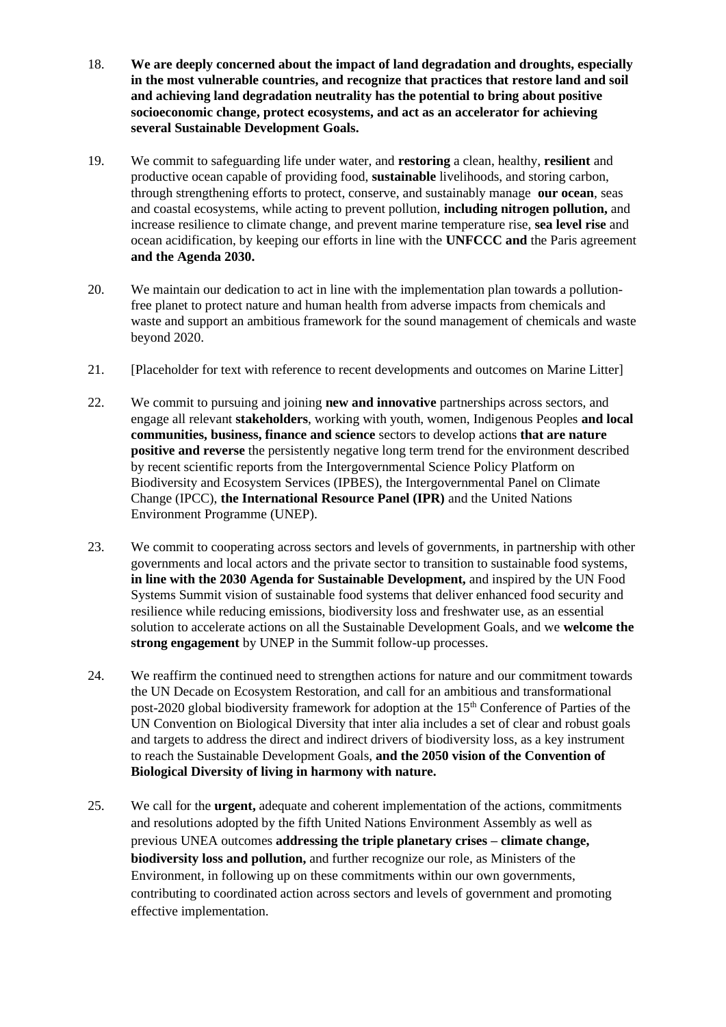- 18. **We are deeply concerned about the impact of land degradation and droughts, especially in the most vulnerable countries, and recognize that practices that restore land and soil and achieving land degradation neutrality has the potential to bring about positive socioeconomic change, protect ecosystems, and act as an accelerator for achieving several Sustainable Development Goals.**
- 19. We commit to safeguarding life under water, and **restoring** a clean, healthy, **resilient** and productive ocean capable of providing food, **sustainable** livelihoods, and storing carbon, through strengthening efforts to protect, conserve, and sustainably manage **our ocean**, seas and coastal ecosystems, while acting to prevent pollution, **including nitrogen pollution,** and increase resilience to climate change, and prevent marine temperature rise, **sea level rise** and ocean acidification, by keeping our efforts in line with the **UNFCCC and** the Paris agreement **and the Agenda 2030.**
- 20. We maintain our dedication to act in line with the implementation plan towards a pollutionfree planet to protect nature and human health from adverse impacts from chemicals and waste and support an ambitious framework for the sound management of chemicals and waste beyond 2020.
- 21. [Placeholder for text with reference to recent developments and outcomes on Marine Litter]
- 22. We commit to pursuing and joining **new and innovative** partnerships across sectors, and engage all relevant **stakeholders**, working with youth, women, Indigenous Peoples **and local communities, business, finance and science** sectors to develop actions **that are nature positive and reverse** the persistently negative long term trend for the environment described by recent scientific reports from the Intergovernmental Science Policy Platform on Biodiversity and Ecosystem Services (IPBES), the Intergovernmental Panel on Climate Change (IPCC), **the International Resource Panel (IPR)** and the United Nations Environment Programme (UNEP).
- 23. We commit to cooperating across sectors and levels of governments, in partnership with other governments and local actors and the private sector to transition to sustainable food systems, **in line with the 2030 Agenda for Sustainable Development,** and inspired by the UN Food Systems Summit vision of sustainable food systems that deliver enhanced food security and resilience while reducing emissions, biodiversity loss and freshwater use, as an essential solution to accelerate actions on all the Sustainable Development Goals, and we **welcome the strong engagement** by UNEP in the Summit follow-up processes.
- 24. We reaffirm the continued need to strengthen actions for nature and our commitment towards the UN Decade on Ecosystem Restoration, and call for an ambitious and transformational post-2020 global biodiversity framework for adoption at the 15<sup>th</sup> Conference of Parties of the UN Convention on Biological Diversity that inter alia includes a set of clear and robust goals and targets to address the direct and indirect drivers of biodiversity loss, as a key instrument to reach the Sustainable Development Goals, **and the 2050 vision of the Convention of Biological Diversity of living in harmony with nature.**
- 25. We call for the **urgent,** adequate and coherent implementation of the actions, commitments and resolutions adopted by the fifth United Nations Environment Assembly as well as previous UNEA outcomes **addressing the triple planetary crises – climate change, biodiversity loss and pollution,** and further recognize our role, as Ministers of the Environment, in following up on these commitments within our own governments, contributing to coordinated action across sectors and levels of government and promoting effective implementation.